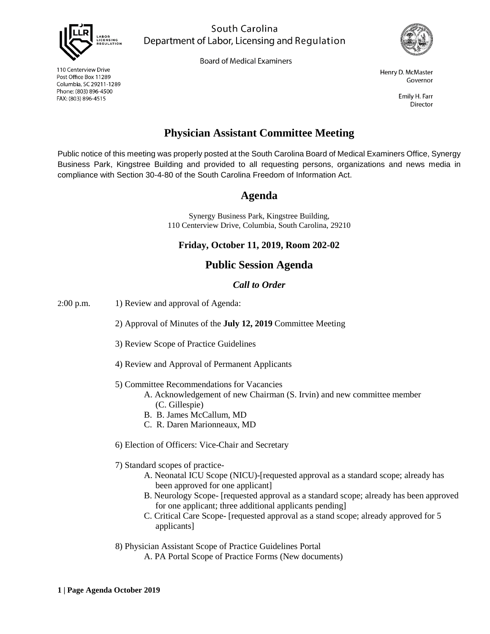

South Carolina Department of Labor, Licensing and Regulation

**Board of Medical Examiners** 



Henry D. McMaster Governor

> Emily H. Farr **Director**

# **Physician Assistant Committee Meeting**

Public notice of this meeting was properly posted at the South Carolina Board of Medical Examiners Office, Synergy Business Park, Kingstree Building and provided to all requesting persons, organizations and news media in compliance with Section 30-4-80 of the South Carolina Freedom of Information Act.

### **Agenda**

Synergy Business Park, Kingstree Building, 110 Centerview Drive, Columbia, South Carolina, 29210

**Friday, October 11, 2019, Room 202-02**

### **Public Session Agenda**

#### *Call to Order*

2:00 p.m. 1) Review and approval of Agenda:

2) Approval of Minutes of the **July 12, 2019** Committee Meeting

- 3) Review Scope of Practice Guidelines
- 4) Review and Approval of Permanent Applicants
- 5) Committee Recommendations for Vacancies
	- A. Acknowledgement of new Chairman (S. Irvin) and new committee member (C. Gillespie)
	- B. B. James McCallum, MD
	- C. R. Daren Marionneaux, MD
- 6) Election of Officers: Vice-Chair and Secretary
- 7) Standard scopes of practice-
	- A. Neonatal ICU Scope (NICU)-[requested approval as a standard scope; already has been approved for one applicant]
	- B. Neurology Scope- [requested approval as a standard scope; already has been approved for one applicant; three additional applicants pending]
	- C. Critical Care Scope- [requested approval as a stand scope; already approved for 5 applicants]
- 8) Physician Assistant Scope of Practice Guidelines Portal
	- A. PA Portal Scope of Practice Forms (New documents)

110 Centerview Drive Post Office Box 11289 Columbia, SC 29211-1289 Phone: (803) 896-4500 FAX: (803) 896-4515